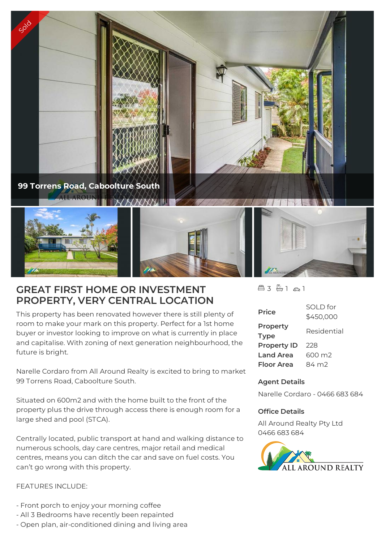

## **GREAT FIRST HOME OR INVESTMENT PROPERTY, VERY CENTRAL LOCATION**

This property has been renovated however there is still plenty of room to make your mark on this property. Perfect for a 1st home buyer or investor looking to improve on what is currently in place and capitalise. With zoning of next generation neighbourhood, the future is bright.

Narelle Cordaro from All Around Realty is excited to bring to market 99 Torrens Road, Caboolture South.

Situated on 600m2 and with the home built to the front of the property plus the drive through access there is enough room for a large shed and pool (STCA).

Centrally located, public transport at hand and walking distance to numerous schools, day care centres, major retail and medical centres, means you can ditch the car and save on fuel costs. You can't go wrong with this property.

## FEATURES INCLUDE:

- Front porch to enjoy your morning coffee
- All 3 Bedrooms have recently been repainted
- Open plan, air-conditioned dining and living area

 $43 - 1 - 21$ 

| <b>Price</b>       | SOI D for<br>\$450,000 |
|--------------------|------------------------|
| Property           |                        |
|                    | Residential            |
| <b>Type</b>        |                        |
| <b>Property ID</b> | 228                    |
| <b>Land Area</b>   | 600 m2                 |
| Floor Area         | 84 m2                  |

## **Agent Details**

Narelle Cordaro - 0466 683 684

## **Office Details**

All Around Realty Pty Ltd 0466 683 684